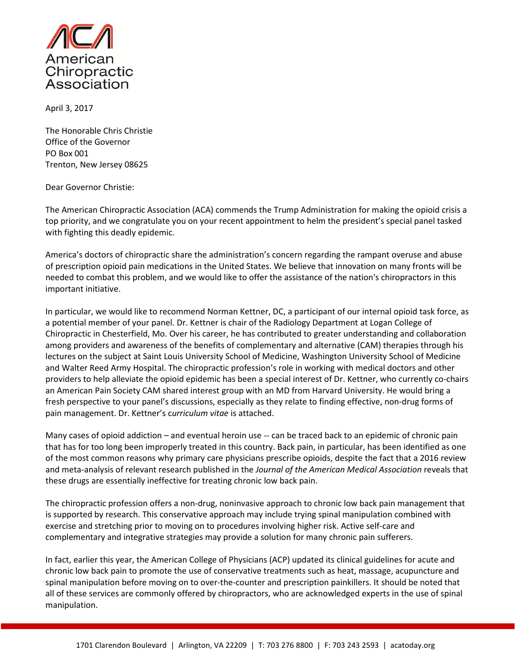

April 3, 2017

The Honorable Chris Christie Office of the Governor PO Box 001 Trenton, New Jersey 08625

Dear Governor Christie:

The American Chiropractic Association (ACA) commends the Trump Administration for making the opioid crisis a top priority, and we congratulate you on your recent appointment to helm the president's special panel tasked with fighting this deadly epidemic.

America's doctors of chiropractic share the administration's concern regarding the rampant overuse and abuse of prescription opioid pain medications in the United States. We believe that innovation on many fronts will be needed to combat this problem, and we would like to offer the assistance of the nation's chiropractors in this important initiative.

In particular, we would like to recommend Norman Kettner, DC, a participant of our internal opioid task force, as a potential member of your panel. Dr. Kettner is chair of the Radiology Department at Logan College of Chiropractic in Chesterfield, Mo. Over his career, he has contributed to greater understanding and collaboration among providers and awareness of the benefits of complementary and alternative (CAM) therapies through his lectures on the subject at Saint Louis University School of Medicine, Washington University School of Medicine and Walter Reed Army Hospital. The chiropractic profession's role in working with medical doctors and other providers to help alleviate the opioid epidemic has been a special interest of Dr. Kettner, who currently co-chairs an American Pain Society CAM shared interest group with an MD from Harvard University. He would bring a fresh perspective to your panel's discussions, especially as they relate to finding effective, non-drug forms of pain management. Dr. Kettner's curriculum vitae is attached.

Many cases of opioid addiction – and eventual heroin use -- can be traced back to an epidemic of chronic pain that has for too long been improperly treated in this country. Back pain, in particular, has been identified as one of the most common reasons why primary care physicians prescribe opioids, despite the fact that a 2016 review and meta-analysis of relevant research published in the Journal of the American Medical Association reveals that these drugs are essentially ineffective for treating chronic low back pain.

The chiropractic profession offers a non-drug, noninvasive approach to chronic low back pain management that is supported by research. This conservative approach may include trying spinal manipulation combined with exercise and stretching prior to moving on to procedures involving higher risk. Active self-care and complementary and integrative strategies may provide a solution for many chronic pain sufferers.

In fact, earlier this year, the American College of Physicians (ACP) updated its clinical guidelines for acute and chronic low back pain to promote the use of conservative treatments such as heat, massage, acupuncture and spinal manipulation before moving on to over-the-counter and prescription painkillers. It should be noted that all of these services are commonly offered by chiropractors, who are acknowledged experts in the use of spinal manipulation.